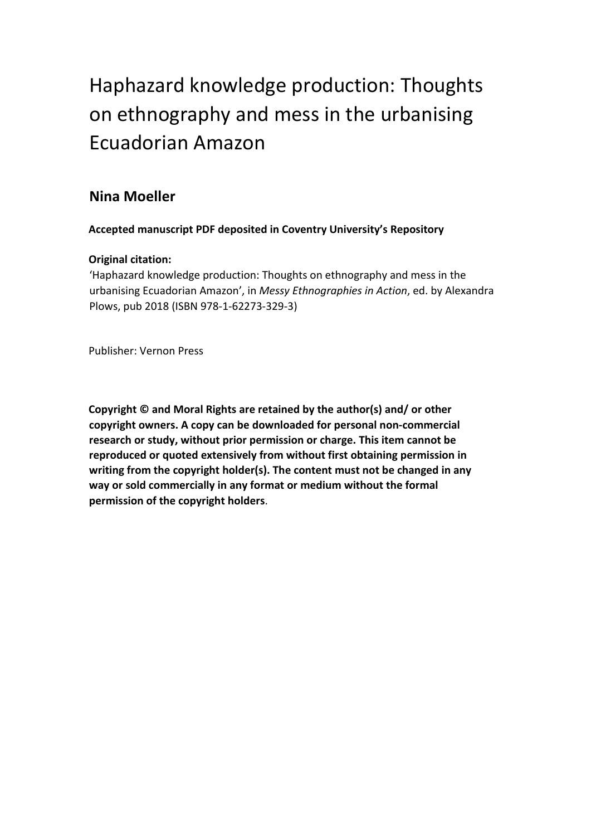# Haphazard knowledge production: Thoughts on ethnography and mess in the urbanising Ecuadorian Amazon

## **Nina Moeller**

**Accepted manuscript PDF deposited in Coventry University's Repository** 

#### **Original citation:**

'Haphazard knowledge production: Thoughts on ethnography and mess in the urbanising Ecuadorian Amazon', in *Messy Ethnographies in Action*, ed. by Alexandra Plows, pub 2018 (ISBN 978-1-62273-329-3)

Publisher: Vernon Press

**Copyright © and Moral Rights are retained by the author(s) and/ or other copyright owners. A copy can be downloaded for personal non-commercial research or study, without prior permission or charge. This item cannot be reproduced or quoted extensively from without first obtaining permission in writing from the copyright holder(s). The content must not be changed in any way or sold commercially in any format or medium without the formal permission of the copyright holders**.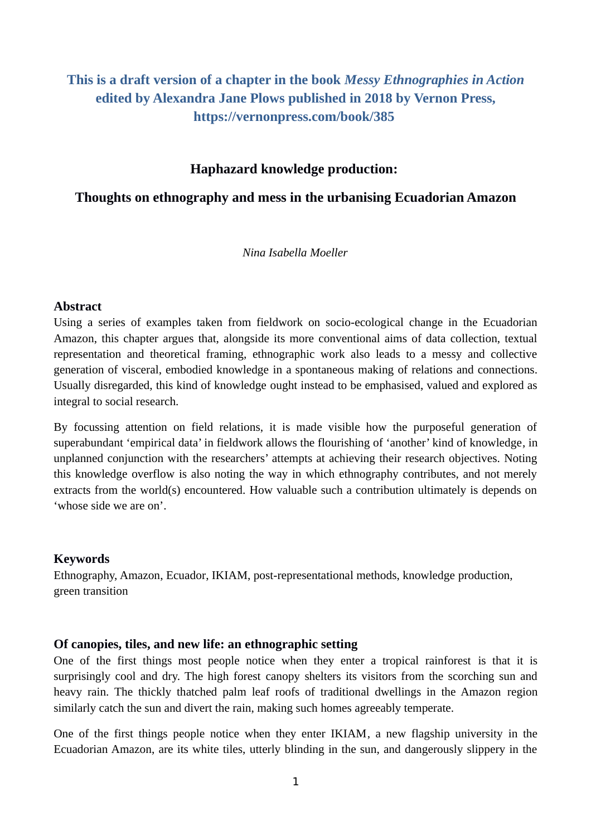## **This is a draft version of a chapter in the book** *Messy Ethnographies in Action* **edited by Alexandra Jane Plows published in 2018 by Vernon Press, https://vernonpress.com/book/385**

### **Haphazard knowledge production:**

### **Thoughts on ethnography and mess in the urbanising Ecuadorian Amazon**

*Nina Isabella Moeller*

#### **Abstract**

Using a series of examples taken from fieldwork on socio-ecological change in the Ecuadorian Amazon, this chapter argues that, alongside its more conventional aims of data collection, textual representation and theoretical framing, ethnographic work also leads to a messy and collective generation of visceral, embodied knowledge in a spontaneous making of relations and connections. Usually disregarded, this kind of knowledge ought instead to be emphasised, valued and explored as integral to social research.

By focussing attention on field relations, it is made visible how the purposeful generation of superabundant 'empirical data' in fieldwork allows the flourishing of 'another' kind of knowledge, in unplanned conjunction with the researchers' attempts at achieving their research objectives. Noting this knowledge overflow is also noting the way in which ethnography contributes, and not merely extracts from the world(s) encountered. How valuable such a contribution ultimately is depends on 'whose side we are on'.

#### **Keywords**

Ethnography, Amazon, Ecuador, IKIAM, post-representational methods, knowledge production, green transition

#### **Of canopies, tiles, and new life: an ethnographic setting**

One of the first things most people notice when they enter a tropical rainforest is that it is surprisingly cool and dry. The high forest canopy shelters its visitors from the scorching sun and heavy rain. The thickly thatched palm leaf roofs of traditional dwellings in the Amazon region similarly catch the sun and divert the rain, making such homes agreeably temperate.

One of the first things people notice when they enter IKIAM, a new flagship university in the Ecuadorian Amazon, are its white tiles, utterly blinding in the sun, and dangerously slippery in the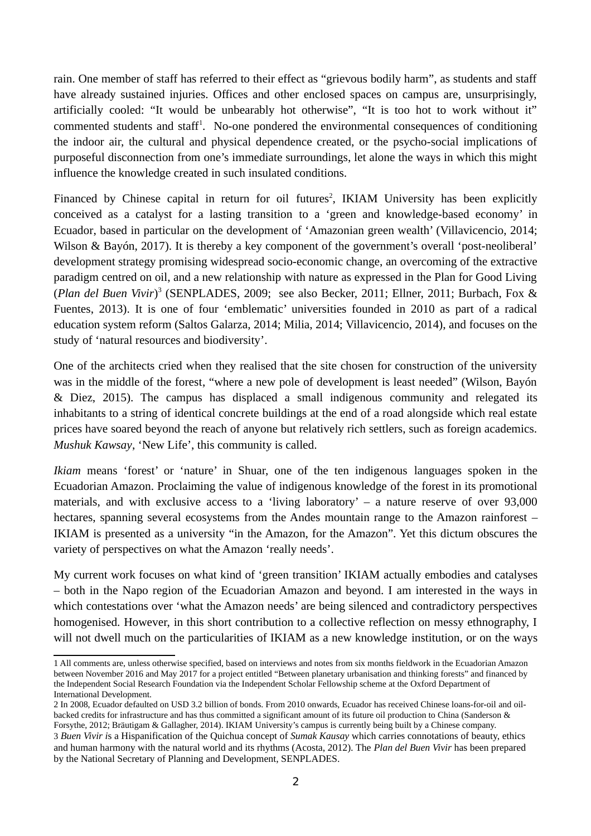rain. One member of staff has referred to their effect as "grievous bodily harm", as students and staff have already sustained injuries. Offices and other enclosed spaces on campus are, unsurprisingly, artificially cooled: "It would be unbearably hot otherwise", "It is too hot to work without it" commented students and staff<sup>[1](#page-2-0)</sup>. No-one pondered the environmental consequences of conditioning the indoor air, the cultural and physical dependence created, or the psycho-social implications of purposeful disconnection from one's immediate surroundings, let alone the ways in which this might influence the knowledge created in such insulated conditions.

Financed by Chinese capital in return for oil futures<sup>[2](#page-2-1)</sup>, IKIAM University has been explicitly conceived as a catalyst for a lasting transition to a 'green and knowledge-based economy' in Ecuador, based in particular on the development of 'Amazonian green wealth' (Villavicencio, 2014; Wilson & Bayón, 2017). It is thereby a key component of the government's overall 'post-neoliberal' development strategy promising widespread socio-economic change, an overcoming of the extractive paradigm centred on oil, and a new relationship with nature as expressed in the Plan for Good Living (Plan del Buen Vivir)<sup>[3](#page-2-2)</sup> (SENPLADES, 2009; see also Becker, 2011; Ellner, 2011; Burbach, Fox & Fuentes, 2013). It is one of four 'emblematic' universities founded in 2010 as part of a radical education system reform (Saltos Galarza, 2014; Milia, 2014; Villavicencio, 2014), and focuses on the study of 'natural resources and biodiversity'.

One of the architects cried when they realised that the site chosen for construction of the university was in the middle of the forest, "where a new pole of development is least needed" (Wilson, Bayón & Diez, 2015). The campus has displaced a small indigenous community and relegated its inhabitants to a string of identical concrete buildings at the end of a road alongside which real estate prices have soared beyond the reach of anyone but relatively rich settlers, such as foreign academics. *Mushuk Kawsay*, 'New Life', this community is called.

*Ikiam* means 'forest' or 'nature' in Shuar, one of the ten indigenous languages spoken in the Ecuadorian Amazon. Proclaiming the value of indigenous knowledge of the forest in its promotional materials, and with exclusive access to a 'living laboratory'  $-$  a nature reserve of over 93,000 hectares, spanning several ecosystems from the Andes mountain range to the Amazon rainforest – IKIAM is presented as a university "in the Amazon, for the Amazon". Yet this dictum obscures the variety of perspectives on what the Amazon 'really needs'.

My current work focuses on what kind of 'green transition' IKIAM actually embodies and catalyses – both in the Napo region of the Ecuadorian Amazon and beyond. I am interested in the ways in which contestations over 'what the Amazon needs' are being silenced and contradictory perspectives homogenised. However, in this short contribution to a collective reflection on messy ethnography, I will not dwell much on the particularities of IKIAM as a new knowledge institution, or on the ways

<span id="page-2-0"></span><sup>1</sup> All comments are, unless otherwise specified, based on interviews and notes from six months fieldwork in the Ecuadorian Amazon between November 2016 and May 2017 for a project entitled "Between planetary urbanisation and thinking forests" and financed by the Independent Social Research Foundation via the Independent Scholar Fellowship scheme at the Oxford Department of International Development.

<span id="page-2-2"></span><span id="page-2-1"></span><sup>2</sup> In 2008, Ecuador defaulted on USD 3.2 billion of bonds. From 2010 onwards, Ecuador has received Chinese loans-for-oil and oilbacked credits for infrastructure and has thus committed a significant amount of its future oil production to China (Sanderson & Forsythe, 2012; Bräutigam & Gallagher, 2014). IKIAM University's campus is currently being built by a Chinese company. 3 *Buen Vivir i*s a Hispanification of the Quichua concept of *Sumak Kausay* which carries connotations of beauty, ethics and human harmony with the natural world and its rhythms (Acosta, 2012). The *Plan del Buen Vivir* has been prepared by the National Secretary of Planning and Development, SENPLADES.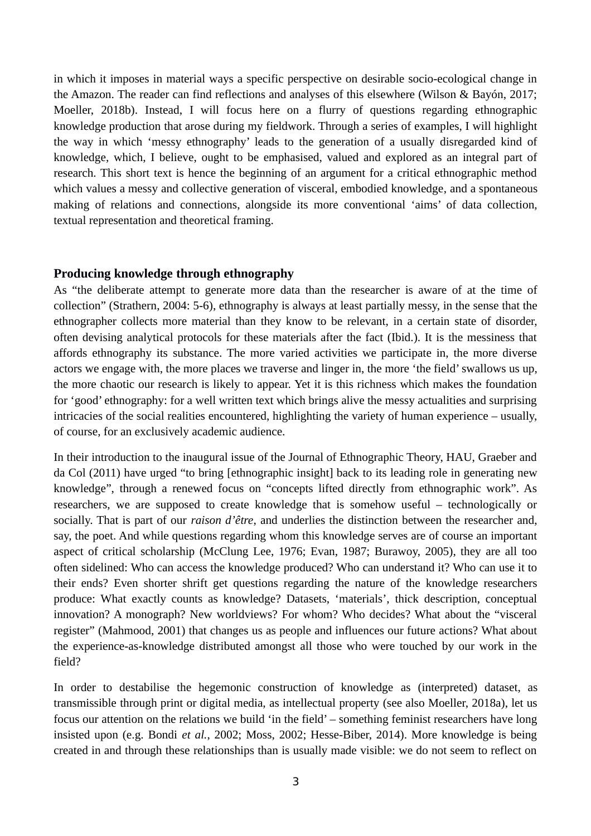in which it imposes in material ways a specific perspective on desirable socio-ecological change in the Amazon. The reader can find reflections and analyses of this elsewhere (Wilson & Bayón, 2017; Moeller, 2018b). Instead, I will focus here on a flurry of questions regarding ethnographic knowledge production that arose during my fieldwork. Through a series of examples, I will highlight the way in which 'messy ethnography' leads to the generation of a usually disregarded kind of knowledge, which, I believe, ought to be emphasised, valued and explored as an integral part of research. This short text is hence the beginning of an argument for a critical ethnographic method which values a messy and collective generation of visceral, embodied knowledge, and a spontaneous making of relations and connections, alongside its more conventional 'aims' of data collection, textual representation and theoretical framing.

#### **Producing knowledge through ethnography**

As "the deliberate attempt to generate more data than the researcher is aware of at the time of collection" (Strathern, 2004: 5-6), ethnography is always at least partially messy, in the sense that the ethnographer collects more material than they know to be relevant, in a certain state of disorder, often devising analytical protocols for these materials after the fact (Ibid.). It is the messiness that affords ethnography its substance. The more varied activities we participate in, the more diverse actors we engage with, the more places we traverse and linger in, the more 'the field' swallows us up, the more chaotic our research is likely to appear. Yet it is this richness which makes the foundation for 'good' ethnography: for a well written text which brings alive the messy actualities and surprising intricacies of the social realities encountered, highlighting the variety of human experience – usually, of course, for an exclusively academic audience.

In their introduction to the inaugural issue of the Journal of Ethnographic Theory, HAU, Graeber and da Col (2011) have urged "to bring [ethnographic insight] back to its leading role in generating new knowledge", through a renewed focus on "concepts lifted directly from ethnographic work". As researchers, we are supposed to create knowledge that is somehow useful – technologically or socially. That is part of our *raison d'être*, and underlies the distinction between the researcher and, say, the poet. And while questions regarding whom this knowledge serves are of course an important aspect of critical scholarship (McClung Lee, 1976; Evan, 1987; Burawoy, 2005), they are all too often sidelined: Who can access the knowledge produced? Who can understand it? Who can use it to their ends? Even shorter shrift get questions regarding the nature of the knowledge researchers produce: What exactly counts as knowledge? Datasets, 'materials', thick description, conceptual innovation? A monograph? New worldviews? For whom? Who decides? What about the "visceral register" (Mahmood, 2001) that changes us as people and influences our future actions? What about the experience-as-knowledge distributed amongst all those who were touched by our work in the field?

In order to destabilise the hegemonic construction of knowledge as (interpreted) dataset, as transmissible through print or digital media, as intellectual property (see also Moeller, 2018a), let us focus our attention on the relations we build 'in the field' – something feminist researchers have long insisted upon (e.g. Bondi *et al.*, 2002; Moss, 2002; Hesse-Biber, 2014). More knowledge is being created in and through these relationships than is usually made visible: we do not seem to reflect on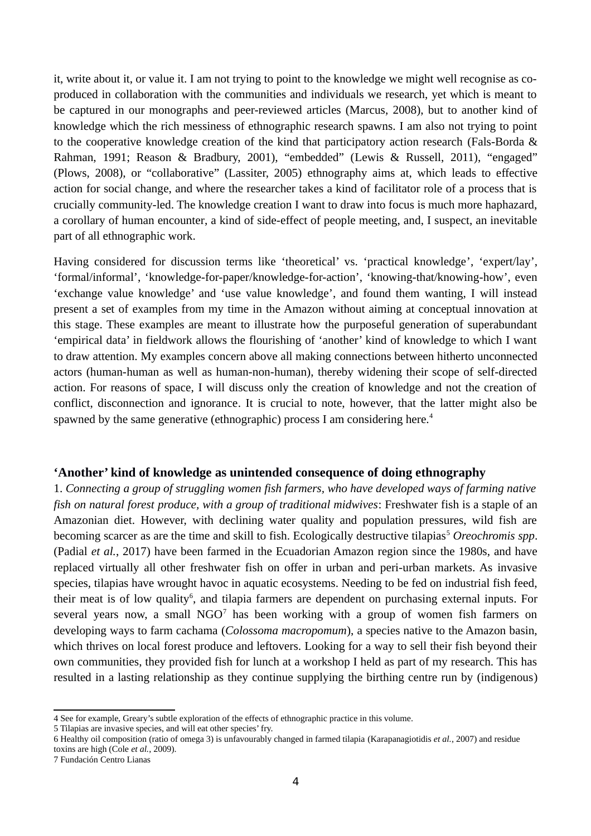it, write about it, or value it. I am not trying to point to the knowledge we might well recognise as coproduced in collaboration with the communities and individuals we research, yet which is meant to be captured in our monographs and peer-reviewed articles (Marcus, 2008), but to another kind of knowledge which the rich messiness of ethnographic research spawns. I am also not trying to point to the cooperative knowledge creation of the kind that participatory action research (Fals-Borda & Rahman, 1991; Reason & Bradbury, 2001), "embedded" (Lewis & Russell, 2011), "engaged" (Plows, 2008), or "collaborative" (Lassiter, 2005) ethnography aims at, which leads to effective action for social change, and where the researcher takes a kind of facilitator role of a process that is crucially community-led. The knowledge creation I want to draw into focus is much more haphazard, a corollary of human encounter, a kind of side-effect of people meeting, and, I suspect, an inevitable part of all ethnographic work.

Having considered for discussion terms like 'theoretical' vs. 'practical knowledge', 'expert/lay', 'formal/informal', 'knowledge-for-paper/knowledge-for-action', 'knowing-that/knowing-how', even 'exchange value knowledge' and 'use value knowledge', and found them wanting, I will instead present a set of examples from my time in the Amazon without aiming at conceptual innovation at this stage. These examples are meant to illustrate how the purposeful generation of superabundant 'empirical data' in fieldwork allows the flourishing of 'another' kind of knowledge to which I want to draw attention. My examples concern above all making connections between hitherto unconnected actors (human-human as well as human-non-human), thereby widening their scope of self-directed action. For reasons of space, I will discuss only the creation of knowledge and not the creation of conflict, disconnection and ignorance. It is crucial to note, however, that the latter might also be spawned by the same generative (ethnographic) process I am considering here.<sup>[4](#page-4-0)</sup>

#### **'Another' kind of knowledge as unintended consequence of doing ethnography**

1. *Connecting a group of struggling women fish farmers, who have developed ways of farming native fish on natural forest produce, with a group of traditional midwives*: Freshwater fish is a staple of an Amazonian diet. However, with declining water quality and population pressures, wild fish are becoming scarcer as are the time and skill to fish. Ecologically destructive tilapias<sup>[5](#page-4-1)</sup> Oreochromis spp. (Padial *et al.*, 2017) have been farmed in the Ecuadorian Amazon region since the 1980s, and have replaced virtually all other freshwater fish on offer in urban and peri-urban markets. As invasive species, tilapias have wrought havoc in aquatic ecosystems. Needing to be fed on industrial fish feed, their meat is of low quality<sup>[6](#page-4-2)</sup>, and tilapia farmers are dependent on purchasing external inputs. For several years now, a small  $\mathrm{NGO}^7$  $\mathrm{NGO}^7$  has been working with a group of women fish farmers on developing ways to farm cachama (*Colossoma macropomum*), a species native to the Amazon basin, which thrives on local forest produce and leftovers. Looking for a way to sell their fish beyond their own communities, they provided fish for lunch at a workshop I held as part of my research. This has resulted in a lasting relationship as they continue supplying the birthing centre run by (indigenous)

<span id="page-4-1"></span>5 Tilapias are invasive species, and will eat other species' fry.

<span id="page-4-0"></span><sup>4</sup> See for example, Greary's subtle exploration of the effects of ethnographic practice in this volume.

<span id="page-4-2"></span><sup>6</sup> Healthy oil composition (ratio of omega 3) is unfavourably changed in farmed tilapia (Karapanagiotidis *et al.*, 2007) and residue toxins are high (Cole *et al.*, 2009).

<span id="page-4-3"></span><sup>7</sup> Fundación Centro Lianas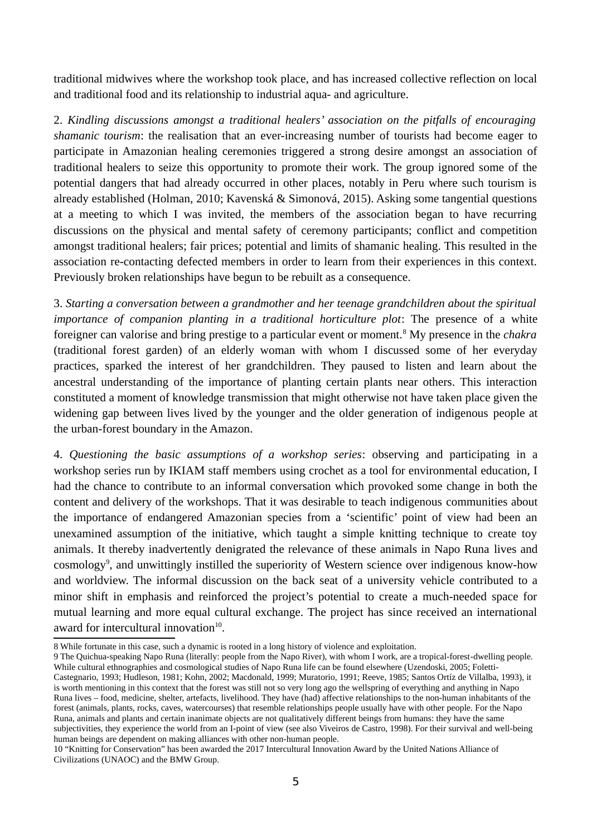traditional midwives where the workshop took place, and has increased collective reflection on local and traditional food and its relationship to industrial aqua- and agriculture.

2. *Kindling discussions amongst a traditional healers' association on the pitfalls of encouraging shamanic tourism*: the realisation that an ever-increasing number of tourists had become eager to participate in Amazonian healing ceremonies triggered a strong desire amongst an association of traditional healers to seize this opportunity to promote their work. The group ignored some of the potential dangers that had already occurred in other places, notably in Peru where such tourism is already established (Holman, 2010; Kavenská & Simonová, 2015). Asking some tangential questions at a meeting to which I was invited, the members of the association began to have recurring discussions on the physical and mental safety of ceremony participants; conflict and competition amongst traditional healers; fair prices; potential and limits of shamanic healing. This resulted in the association re-contacting defected members in order to learn from their experiences in this context. Previously broken relationships have begun to be rebuilt as a consequence.

3. *Starting a conversation between a grandmother and her teenage grandchildren about the spiritual importance of companion planting in a traditional horticulture plot*: The presence of a white foreigner can valorise and bring prestige to a particular event or moment.<sup>[8](#page-5-0)</sup> My presence in the *chakra* (traditional forest garden) of an elderly woman with whom I discussed some of her everyday practices, sparked the interest of her grandchildren. They paused to listen and learn about the ancestral understanding of the importance of planting certain plants near others. This interaction constituted a moment of knowledge transmission that might otherwise not have taken place given the widening gap between lives lived by the younger and the older generation of indigenous people at the urban-forest boundary in the Amazon.

4. *Questioning the basic assumptions of a workshop series*: observing and participating in a workshop series run by IKIAM staff members using crochet as a tool for environmental education, I had the chance to contribute to an informal conversation which provoked some change in both the content and delivery of the workshops. That it was desirable to teach indigenous communities about the importance of endangered Amazonian species from a 'scientific' point of view had been an unexamined assumption of the initiative, which taught a simple knitting technique to create toy animals. It thereby inadvertently denigrated the relevance of these animals in Napo Runa lives and cosmology<sup>[9](#page-5-1)</sup>, and unwittingly instilled the superiority of Western science over indigenous know-how and worldview. The informal discussion on the back seat of a university vehicle contributed to a minor shift in emphasis and reinforced the project's potential to create a much-needed space for mutual learning and more equal cultural exchange. The project has since received an international award for intercultural innovation $^{10}$  $^{10}$  $^{10}$ .

<span id="page-5-0"></span><sup>8</sup> While fortunate in this case, such a dynamic is rooted in a long history of violence and exploitation.

<span id="page-5-1"></span><sup>9</sup> The Quichua-speaking Napo Runa (literally: people from the Napo River), with whom I work, are a tropical-forest-dwelling people. While cultural ethnographies and cosmological studies of Napo Runa life can be found elsewhere (Uzendoski, 2005; Foletti-Castegnario, 1993; Hudleson, 1981; Kohn, 2002; Macdonald, 1999; Muratorio, 1991; Reeve, 1985; Santos Ortíz de Villalba, 1993), it is worth mentioning in this context that the forest was still not so very long ago the wellspring of everything and anything in Napo Runa lives – food, medicine, shelter, artefacts, livelihood. They have (had) affective relationships to the non-human inhabitants of the forest (animals, plants, rocks, caves, watercourses) that resemble relationships people usually have with other people. For the Napo Runa, animals and plants and certain inanimate objects are not qualitatively different beings from humans: they have the same subjectivities, they experience the world from an I-point of view (see also Viveiros de Castro, 1998). For their survival and well-being human beings are dependent on making alliances with other non-human people.

<span id="page-5-2"></span><sup>10 &</sup>quot;Knitting for Conservation" has been awarded the 2017 Intercultural Innovation Award by the United Nations Alliance of Civilizations (UNAOC) and the BMW Group.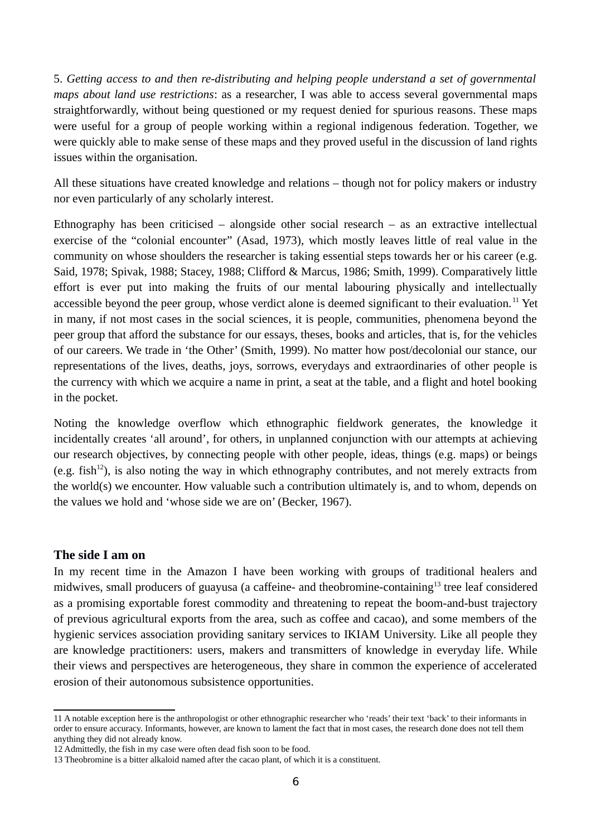5. *Getting access to and then re-distributing and helping people understand a set of governmental maps about land use restrictions*: as a researcher, I was able to access several governmental maps straightforwardly, without being questioned or my request denied for spurious reasons. These maps were useful for a group of people working within a regional indigenous federation. Together, we were quickly able to make sense of these maps and they proved useful in the discussion of land rights issues within the organisation.

All these situations have created knowledge and relations – though not for policy makers or industry nor even particularly of any scholarly interest.

Ethnography has been criticised – alongside other social research – as an extractive intellectual exercise of the "colonial encounter" (Asad, 1973), which mostly leaves little of real value in the community on whose shoulders the researcher is taking essential steps towards her or his career (e.g. Said, 1978; Spivak, 1988; Stacey, 1988; Clifford & Marcus, 1986; Smith, 1999). Comparatively little effort is ever put into making the fruits of our mental labouring physically and intellectually accessible beyond the peer group, whose verdict alone is deemed significant to their evaluation.<sup>[11](#page-6-0)</sup> Yet in many, if not most cases in the social sciences, it is people, communities, phenomena beyond the peer group that afford the substance for our essays, theses, books and articles, that is, for the vehicles of our careers. We trade in 'the Other' (Smith, 1999). No matter how post/decolonial our stance, our representations of the lives, deaths, joys, sorrows, everydays and extraordinaries of other people is the currency with which we acquire a name in print, a seat at the table, and a flight and hotel booking in the pocket.

Noting the knowledge overflow which ethnographic fieldwork generates, the knowledge it incidentally creates 'all around', for others, in unplanned conjunction with our attempts at achieving our research objectives, by connecting people with other people, ideas, things (e.g. maps) or beings (e.g. fish<sup>[12](#page-6-1)</sup>), is also noting the way in which ethnography contributes, and not merely extracts from the world(s) we encounter. How valuable such a contribution ultimately is, and to whom, depends on the values we hold and 'whose side we are on' (Becker, 1967).

#### **The side I am on**

In my recent time in the Amazon I have been working with groups of traditional healers and midwives, small producers of guayusa (a caffeine- and theobromine-containing<sup>[13](#page-6-2)</sup> tree leaf considered as a promising exportable forest commodity and threatening to repeat the boom-and-bust trajectory of previous agricultural exports from the area, such as coffee and cacao), and some members of the hygienic services association providing sanitary services to IKIAM University. Like all people they are knowledge practitioners: users, makers and transmitters of knowledge in everyday life. While their views and perspectives are heterogeneous, they share in common the experience of accelerated erosion of their autonomous subsistence opportunities.

<span id="page-6-0"></span><sup>11</sup> A notable exception here is the anthropologist or other ethnographic researcher who 'reads' their text 'back' to their informants in order to ensure accuracy. Informants, however, are known to lament the fact that in most cases, the research done does not tell them anything they did not already know.

<span id="page-6-1"></span><sup>12</sup> Admittedly, the fish in my case were often dead fish soon to be food.

<span id="page-6-2"></span><sup>13</sup> Theobromine is a bitter alkaloid named after the cacao plant, of which it is a constituent.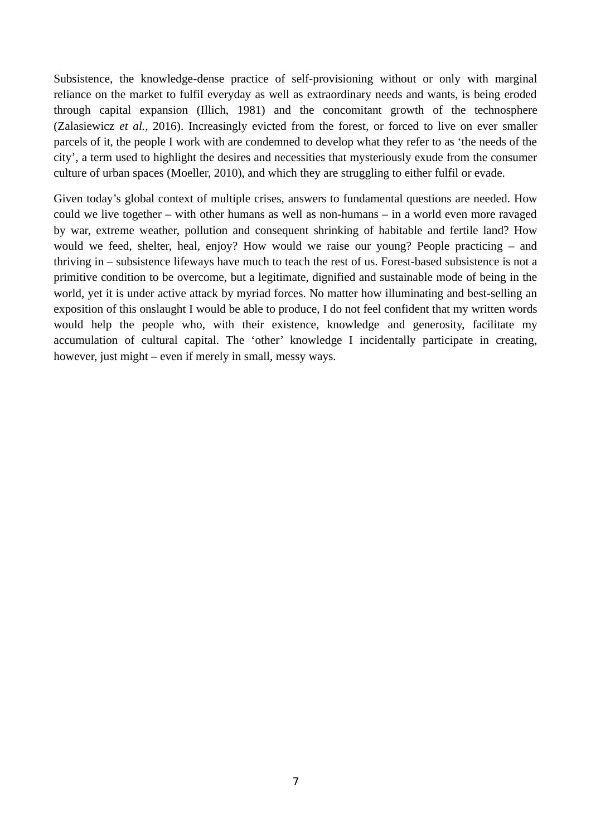Subsistence, the knowledge-dense practice of self-provisioning without or only with marginal reliance on the market to fulfil everyday as well as extraordinary needs and wants, is being eroded through capital expansion (Illich, 1981) and the concomitant growth of the technosphere (Zalasiewicz *et al.*, 2016). Increasingly evicted from the forest, or forced to live on ever smaller parcels of it, the people I work with are condemned to develop what they refer to as 'the needs of the city', a term used to highlight the desires and necessities that mysteriously exude from the consumer culture of urban spaces (Moeller, 2010), and which they are struggling to either fulfil or evade.

Given today's global context of multiple crises, answers to fundamental questions are needed. How could we live together – with other humans as well as non-humans – in a world even more ravaged by war, extreme weather, pollution and consequent shrinking of habitable and fertile land? How would we feed, shelter, heal, enjoy? How would we raise our young? People practicing – and thriving in – subsistence lifeways have much to teach the rest of us. Forest-based subsistence is not a primitive condition to be overcome, but a legitimate, dignified and sustainable mode of being in the world, yet it is under active attack by myriad forces. No matter how illuminating and best-selling an exposition of this onslaught I would be able to produce, I do not feel confident that my written words would help the people who, with their existence, knowledge and generosity, facilitate my accumulation of cultural capital. The 'other' knowledge I incidentally participate in creating, however, just might – even if merely in small, messy ways.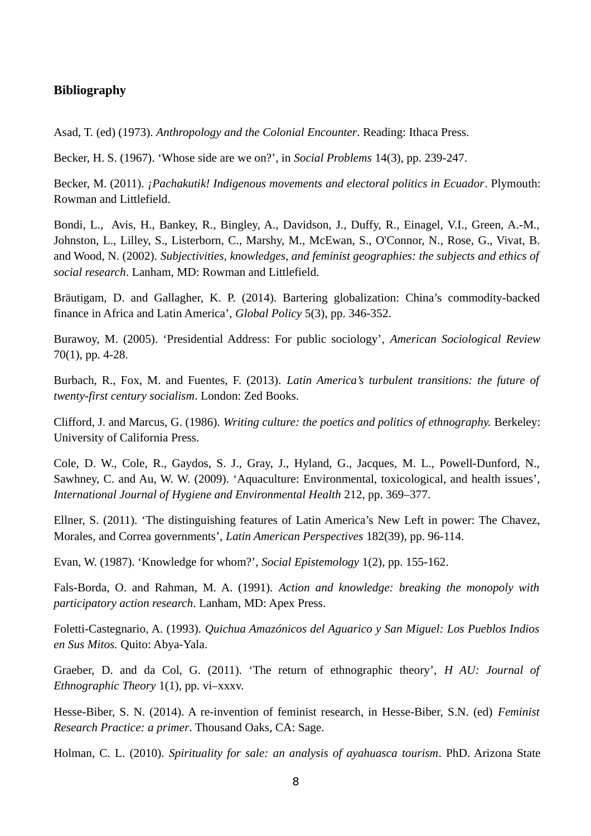#### **Bibliography**

Asad, T. (ed) (1973). *Anthropology and the Colonial Encounter*. Reading: Ithaca Press.

Becker, H. S. (1967). 'Whose side are we on?', in *Social Problems* 14(3), pp. 239-247.

Becker, M. (2011). *¡Pachakutik! Indigenous movements and electoral politics in Ecuador*. Plymouth: Rowman and Littlefield.

Bondi, L., Avis, H., Bankey, R., Bingley, A., Davidson, J., Duffy, R., Einagel, V.I., Green, A.-M., Johnston, L., Lilley, S., Listerborn, C., Marshy, M., McEwan, S., O'Connor, N., Rose, G., Vivat, B. and Wood, N. (2002). *Subjectivities, knowledges, and feminist geographies: the subjects and ethics of social research*. Lanham, MD: Rowman and Littlefield.

Bräutigam, D. and Gallagher, K. P. (2014). Bartering globalization: China's commodity-backed finance in Africa and Latin America', *Global Policy* 5(3), pp. 346-352.

Burawoy, M. (2005). 'Presidential Address: For public sociology', *American Sociological Review* 70(1), pp. 4-28.

Burbach, R., Fox, M. and Fuentes, F. (2013). *Latin America's turbulent transitions: the future of twenty-first century socialism*. London: Zed Books.

Clifford, J. and Marcus, G. (1986). *Writing culture: the poetics and politics of ethnography.* Berkeley: University of California Press.

Cole, D. W., Cole, R., Gaydos, S. J., Gray, J., Hyland, G., Jacques, M. L., Powell-Dunford, N., Sawhney, C. and Au, W. W. (2009). 'Aquaculture: Environmental, toxicological, and health issues', *International Journal of Hygiene and Environmental Health* 212, pp. 369–377.

Ellner, S. (2011). 'The distinguishing features of Latin America's New Left in power: The Chavez, Morales, and Correa governments', *Latin American Perspectives* 182(39), pp. 96-114.

Evan, W. (1987). 'Knowledge for whom?', *Social Epistemology* 1(2), pp. 155-162.

Fals-Borda, O. and Rahman, M. A. (1991). *Action and knowledge: breaking the monopoly with participatory action research*. Lanham, MD: Apex Press.

Foletti-Castegnario, A. (1993). *Quichua Amazónicos del Aguarico y San Miguel: Los Pueblos Indios en Sus Mitos.* Quito: Abya-Yala.

Graeber, D. and da Col, G. (2011). 'The return of ethnographic theory', *H AU: Journal of Ethnographic Theory* 1(1), pp. vi–xxxv.

Hesse-Biber, S. N. (2014). A re-invention of feminist research, in Hesse-Biber, S.N. (ed) *Feminist Research Practice: a primer*. Thousand Oaks, CA: Sage.

Holman, C. L. (2010). *Spirituality for sale: an analysis of ayahuasca tourism*. PhD. Arizona State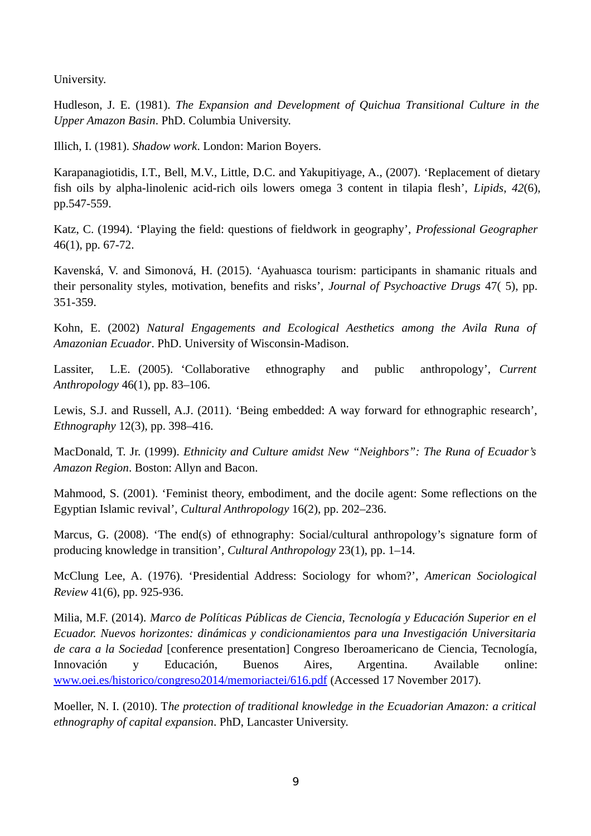University.

Hudleson, J. E. (1981). *The Expansion and Development of Quichua Transitional Culture in the Upper Amazon Basin*. PhD. Columbia University.

Illich, I. (1981). *Shadow work*. London: Marion Boyers.

Karapanagiotidis, I.T., Bell, M.V., Little, D.C. and Yakupitiyage, A., (2007). 'Replacement of dietary fish oils by alpha-linolenic acid-rich oils lowers omega 3 content in tilapia flesh', *Lipids*, *42*(6), pp.547-559.

Katz, C. (1994). 'Playing the field: questions of fieldwork in geography', *Professional Geographer* 46(1), pp. 67-72.

Kavenská, V. and Simonová, H. (2015). 'Ayahuasca tourism: participants in shamanic rituals and their personality styles, motivation, benefits and risks', *Journal of Psychoactive Drugs* 47( 5), pp. 351-359.

Kohn, E. (2002) *Natural Engagements and Ecological Aesthetics among the Avila Runa of Amazonian Ecuador*. PhD. University of Wisconsin-Madison.

Lassiter, L.E. (2005). 'Collaborative ethnography and public anthropology', *Current Anthropology* 46(1), pp. 83–106.

Lewis, S.J. and Russell, A.J. (2011). 'Being embedded: A way forward for ethnographic research', *Ethnography* 12(3), pp. 398–416.

MacDonald, T. Jr. (1999). *Ethnicity and Culture amidst New "Neighbors": The Runa of Ecuador's Amazon Region*. Boston: Allyn and Bacon.

Mahmood, S. (2001). 'Feminist theory, embodiment, and the docile agent: Some reflections on the Egyptian Islamic revival', *Cultural Anthropology* 16(2), pp. 202–236.

Marcus, G. (2008). 'The end(s) of ethnography: Social/cultural anthropology's signature form of producing knowledge in transition', *Cultural Anthropology* 23(1), pp. 1–14.

McClung Lee, A. (1976). 'Presidential Address: Sociology for whom?', *American Sociological Review* 41(6), pp. 925-936.

Milia, M.F. (2014). *Marco de Políticas Públicas de Ciencia, Tecnología y Educación Superior en el Ecuador. Nuevos horizontes: dinámicas y condicionamientos para una Investigación Universitaria de cara a la Sociedad* [conference presentation] Congreso Iberoamericano de Ciencia, Tecnología, Innovación y Educación, Buenos Aires, Argentina. Available online: [www.oei.es/historico/congreso2014/memoriactei/616.pdf](http://www.oei.es/historico/congreso2014/memoriactei/616.pdf) (Accessed 17 November 2017).

Moeller, N. I. (2010). T*he protection of traditional knowledge in the Ecuadorian Amazon: a critical ethnography of capital expansion*. PhD, Lancaster University.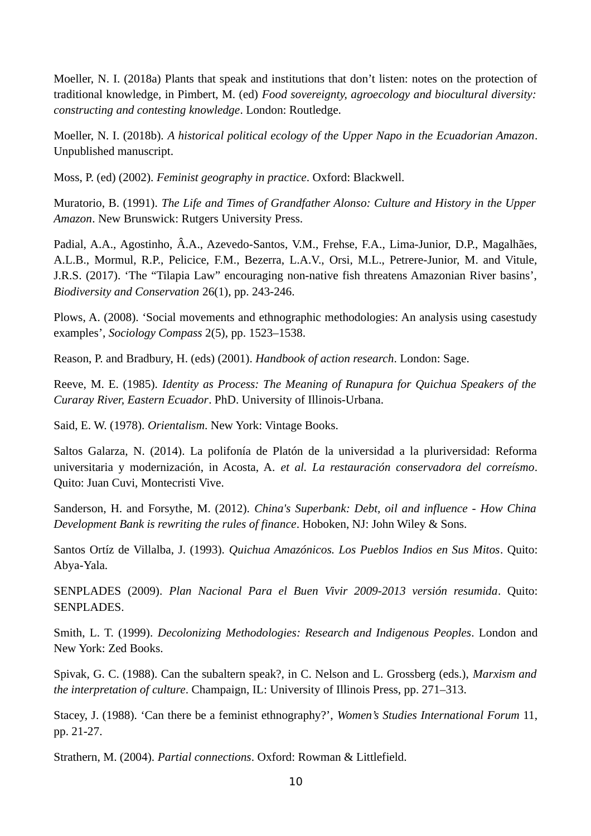Moeller, N. I. (2018a) Plants that speak and institutions that don't listen: notes on the protection of traditional knowledge, in Pimbert, M. (ed) *Food sovereignty, agroecology and biocultural diversity: constructing and contesting knowledge*. London: Routledge.

Moeller, N. I. (2018b). *A historical political ecology of the Upper Napo in the Ecuadorian Amazon*. Unpublished manuscript.

Moss, P. (ed) (2002). *Feminist geography in practice*. Oxford: Blackwell.

Muratorio, B. (1991). *The Life and Times of Grandfather Alonso: Culture and History in the Upper Amazon*. New Brunswick: Rutgers University Press.

Padial, A.A., Agostinho, Â.A., Azevedo-Santos, V.M., Frehse, F.A., Lima-Junior, D.P., Magalhães, A.L.B., Mormul, R.P., Pelicice, F.M., Bezerra, L.A.V., Orsi, M.L., Petrere-Junior, M. and Vitule, J.R.S. (2017). 'The "Tilapia Law" encouraging non-native fish threatens Amazonian River basins', *Biodiversity and Conservation* 26(1), pp. 243-246.

Plows, A. (2008). 'Social movements and ethnographic methodologies: An analysis using casestudy examples', *Sociology Compass* 2(5), pp. 1523–1538.

Reason, P. and Bradbury, H. (eds) (2001). *Handbook of action research*. London: Sage.

Reeve, M. E. (1985). *Identity as Process: The Meaning of Runapura for Quichua Speakers of the Curaray River, Eastern Ecuador*. PhD. University of Illinois-Urbana.

Said, E. W. (1978). *Orientalism*. New York: Vintage Books.

Saltos Galarza, N. (2014). La polifonía de Platón de la universidad a la pluriversidad: Reforma universitaria y modernización, in Acosta, A. *et al. La restauración conservadora del correísmo*. Quito: Juan Cuvi, Montecristi Vive.

Sanderson, H. and Forsythe, M. (2012). *China's Superbank: Debt, oil and influence - How China Development Bank is rewriting the rules of finance*. Hoboken, NJ: John Wiley & Sons.

Santos Ortíz de Villalba, J. (1993). *Quichua Amazónicos. Los Pueblos Indios en Sus Mitos*. Quito: Abya-Yala.

SENPLADES (2009). *Plan Nacional Para el Buen Vivir 2009-2013 versión resumida*. Quito: SENPLADES.

Smith, L. T. (1999). *Decolonizing Methodologies: Research and Indigenous Peoples*. London and New York: Zed Books.

Spivak, G. C. (1988). Can the subaltern speak?, in C. Nelson and L. Grossberg (eds.), *Marxism and the interpretation of culture*. Champaign, IL: University of Illinois Press, pp. 271–313.

Stacey, J. (1988). 'Can there be a feminist ethnography?', *Women's Studies International Forum* 11, pp. 21-27.

Strathern, M. (2004). *Partial connections*. Oxford: Rowman & Littlefield.